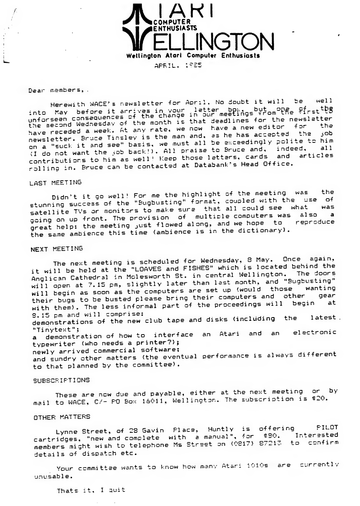

APRIL. IP25

Dear members, .

Herewith WACE's newsletter for April. No doubt it will be nii: No doubl it will be<br>letter box, but om?Be first the in our meetings from the<br>that deadlines for the newsl now and, have a new editor for as he has accepted the as he has accepted the<br>be exceedingly polite t on a "suck it and see" basis, we must all be incorported,<br>(I do not want the job back!). All praise to Bruce and, indeed, (I do not want the job back!). All praise to stude and, indeed, there well etter<br>etter the job o him all on <sup>a</sup> "suck it and see" basis, we must all Herewith WHCE S NEWSIECCE, TO:<br>into May before it arrives in your<br>change into May before it arrives in you"<br>unforseen consequences of the change unforseen consequences of the chang<br>the second Wednesday of the month is the second wednesday of the money -<br>have receded a week. At any rate, we have receded a week. He any reset<br>newsletter. Bruce Tinsley is the man rolling in. Bruce can be contacted at Databank's Head Office.

LAST MEETING

Didn't it go well! For me the highlight of the meeting was the stunning success of the "Bugbusting" format, coupled with the use of satellite TVs or monitors to make sure that all could see what was going on up front. The provision of multiple computers was also great help: the meeting just flowed along, and we hope to reproduce the same ambience this time (ambience is in the dictionary).

NEXT MEETING

The next meeting is scheduled for Wednesday, 8 May. Once again, it will be held at the "LOAVES and FISHES" which is located behind the Anglican Cathedral in Molesworth St. in central Wellington. The doors will open at 7.15 pm, slightly later than last month, and "Bugbusting" will begin as soon as the computers are set up (would those wanting their bugs to be busted please bring their computers and other gear with them). The less informal part of the proceedings will begin<br>8.15 pm and will comprise: with chem,. The four-se:<br>9.15 pm and will comprise:<br>demonstrations of the new club tape and disks (including the latest "Tinytext";<br>a demonstration of how to interface an Atari and an electronic typewriter (who needs a printer?); newlv arrived commercial software; and sundry other matters (the eventual performance is always different to that planned by the committee).

#### SUBSCRIPTIONS

These are now due and payable, either at the next meeting or by These are now due and payable, either at the next meeting or<br>mail to WACE, C/- PO Box 16011, Wellington. The subscription is \$20.

OTHER MATTERS

.....\_..<br>Lynne Street, of 28 Gavin Place, Huntly is offering population bynne street, of 25 Savin Tides, Manuel, for \$80. Intereste<br>cartridges, "new and complete with a manual", for \$80. Intereste cartrioges, hew and complete with a manufact (0817) 87213 to confirm<br>members might wish to telephone Ms Street on (0817) 87213 to confirm details of dispatch etc.

Your committee wants to know how many Atari 1010s  $\,$  are  $\,$  currently unu.sab <sup>1</sup> e.

Thats it, <sup>I</sup> quit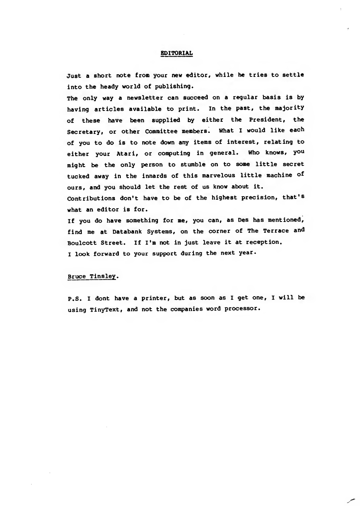#### EDITORIAL

Just <sup>a</sup> short note from your new editor, while he tries to settle into the heady world of publishing.

The only way a newsletter can succeed on a regular basis is by having articles available to print. In the past, the majority of these have been supplied by either the President, the Secretary, or other Committee members. What I would like each of you to do is to note down any items of interest, relating to either your Atari, or computing in general. Who knows, you might be the only person to stumble on to some little secret tucked away in the innards of this marvelous little machine of ours, and you should let the rest of us know about it.

Contributions don't have to be of the highest precision, that's what an editor is for.

If you do have something for me, you can, as Des has mentioned, find me at Databank Systems, on the corner of The Terrace and Boulcott Street. If I'm not in just leave it at reception. I look forward to your support during the next year.

#### Bruce Tinsley.

P.S. I dont have a printer, but as soon as I get one, I will be using TinyText, and not the companies word processor.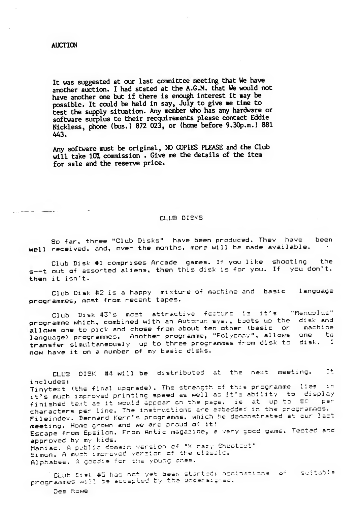#### AUCTION

a communication of the communication of the

It was suggested at our last committee meeting that We have another auction. I had stated at the A.G.M. that We would not have another one but if there is enough interest it may be possible. It could be held in say, July to give me time to test the supply situation. Any member who has any hardware or software surplus to their recquirements please contact Eddie Nickless, phone (bus.) 872 023, or (home before 9.30p.m.) 881 443.

Any software must be original, NO COPIES PLEASE and the Club will take 10X commission . Give me the details of the item for sale and the reserve price.

#### CLUB DISKS

So far, three "Club Disks" have been produced. They have been well received, and, over the months, more will be made available.

Club Disk #1 comprises Arcade games. If you like shooting the s—t out of assorted aliens, then this disk is for you. If you don't, then it isn't.

Club Disk #2 is a happy mixture of machine and basic language programmes, most from recent tapes.

Club Disk #3's most attractive feature is it's "Menuplus" programme which, combined with an Autorun sys., boots up the disk and allows one to pick and chose from about ten other (basic or language) programmes. Another programme, "Polycopy", allows one to transfer simultaneously up to three programmes from disk to disk. <sup>1</sup> now have it on <sup>a</sup> number of my basic disks.

CLUB DISK #4-will-be distributed at the next meeting. It includes: Tinytext (the final upgrade). The strength of this programme it's much improved printing speed as well as it's ability to display finished text as it would appear on the page, is at up to 80 finished text as it would speak on the page, is the programmes.<br>characters per line. The instructions are embedded in the programmes. Fileindex. Bernard Kerr's programme, which he demonstrated at meeting. Home grown and we are proud of it! meeting. Home grown and we are product. It.<br>Escape from Epsilon. From Antic magazine, a very good game. Tested and approved by my kids. Maniac. A public domain version of "K razy Shootcut" Simon. <sup>A</sup> much improved version cf the classic. alphabee. A goodie for the youn. B© per

CLub Disk #5 has not yet been started: nominations "of" "switable programmes will be accepted by the undersigned.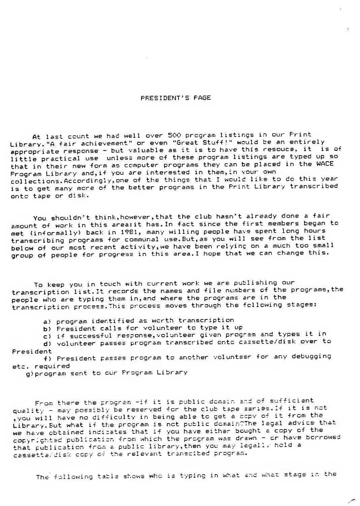#### PRESIDENT'S PAGE

At last count we had well over 500 program listings in our Print Library."A fair achievement" or even "Great Stuff!" would be an entirely appropriate response – but valuable as it is to have this resouce, it is of little practical use unless more of these program listings are typed up so that in their new form as computer programs they can be placed in the WAGE Program Library and,if you are interested in them,in your own col 1ections.Accordingly,one of the things that <sup>I</sup> would like to do this year is to qet many mere of the better programs in the Print Library transcribed onto tape or disk.

You shouldn't think,however,that the club hasn't already done <sup>a</sup> fair amount of work in this area:it has.In fact since the first members began to met (informally) back in 1981, many willing people have spent long hours transcribing programs for communal use.But,as you will see from the list below of our most recent activity,we have been relying on a much too small group of people for progress in this area.I hope that we can change this.

To keep you in touch with current work we are publishing our transcription list.It records the names and file numbers of the programs,the people who are typing them in,and where the programs are in the transcription process.This process moves through the following stages:

- a) program identified as worth transcription
- b) President calls for volunteer to type it up

c) if successful response,volunteer given program and types it in

d) volunteer passes program transcribed onto cassette/disk over to President

f) President passes program to another volunteer for any debugging etc. required

g) program sent to cur Programi Library

From there the program -if quality - may possibly be reser quality – may possibly be reserved for the club tape series.if it is no<br>you will have no difficulty in being able to get a copy of it from the. it is public domain and of sufficient it is public domain and of sufficient<br>ed for the club tape series.If it is not Library.But what if the program is not public demain?The legal advice that we have obtained indicates that if you have either bought <sup>a</sup> copy of the we have outained indicates that if you have drawn - or you have borrowed<br>that publication from a public library,then you may legally hold a<br>that publication from a public library,then you may legally hold a that publication from a public library,then you may legally hold a<br>cassetta/disk copy of the relevant transcited program.

The following table shows who is typing in what and what stage in the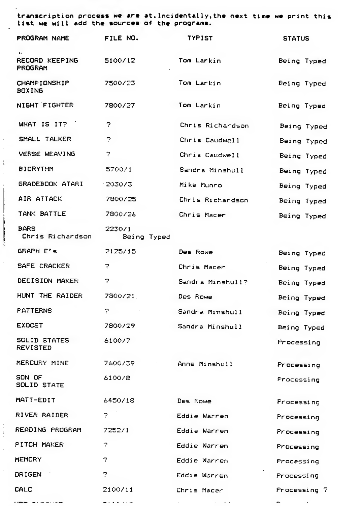transcription process we are at.Incidentally,the next time we print this list we will add the sources of the programs.

| <b>PROGRAM NAME</b>                         | FILE NO.              | <b>TYPIST</b>    | <b>STATUS</b> |
|---------------------------------------------|-----------------------|------------------|---------------|
| $\cdot$<br>RECORD KEEPING<br><b>FROGRAM</b> | 5100/12               | Tom Larkin       | Being Typed   |
| CHAMPIONSHIP<br><b>BOXING</b>               | 7500/23               | Tom Larkin       | Being Typed   |
| NIGHT FIGHTER                               | 7800/27               | Tom Larkin       | Being Typed   |
| WHAT IS IT?                                 | ?                     | Chris Richardson | Being Typed   |
| SMALL TALKER                                | $\mathbb{R}^2$        | Chris Caudwell   | Being Typed   |
| VERSE WEAVING                               | ?                     | Chris Caudwell   | Being Typed   |
| <b>BIORYTHM</b>                             | 5700/1                | Sandra Minshull  | Being Typed   |
| GRADEBOOK ATARI                             | 1203073               | Mike Munro       | Being Typed   |
| AIR ATTACK                                  | 7800/25               | Chris Richardson | Being Typed   |
| TANK BATTLE                                 | 7800/26               | Chris Macer      | Being Typed   |
| <b>BARS</b><br>Chris Richardson             | 2230/1<br>Being Typed |                  |               |
| <b>GRAPH E's</b>                            | 2125/15               | Des Rowe         | Being Typed   |
| <b>SAFE CRACKER</b>                         | 5                     | Chris Macer      | Being Typed   |
| DECISION MAKER                              | 7                     | Sandra Minshull? | Being Typed   |
| HUNT THE RAIDER                             | 7800/21.              | Des Rowe         | Being Typed   |
| <b>FATTERNS</b>                             | $\mathbb{R}$          | Sandra Minshull  | Being Typed   |
| <b>EXOCET</b>                               | 7800/29               | Sandra Minshull  | Being Typed   |
| <b>SOLID STATES</b><br><b>REVISTED</b>      | 6100/7                |                  | Frocessing    |
| MERCURY MINE                                | 7600739               | Anne Minshull    | Processing    |
| SON OF<br><b>SOLID STATE</b>                | 610078                |                  | Frocessing    |
| MATT-EDIT                                   | 6450/18               | Des Rowe         | Processing    |
| RIVER RAIDER                                | Ç.                    | Eddie Warren     | Processing    |
| READING PROGRAM                             | 7252/1                | Eddie Warren     | Processing    |
| PITCH MAKER                                 | P.                    | Eddie Warren     | Processing    |
| MEMORY                                      | $\mathbb{R}$          | Eddie Warren     | Frocessing    |
| ORIGEN                                      | $\mathbb{R}$          | Eddie Warren     | Frocessing    |
| CALC                                        | 2100/11               | Chris Macer      | Processing ?  |

 $\mathcal{L}_{\text{max}}$  , and  $\mathcal{L}_{\text{max}}$ 

 $\ddot{\phantom{0}}$ 

 $\ddot{\phantom{1}}$ 

 $\frac{1}{4}$ 

 $\begin{array}{c} \frac{1}{2} \\ \frac{1}{2} \end{array}$ 

 $\bar{z}$ 

 $\frac{1}{2}$ 

 $\frac{1}{2} \left( \frac{1}{2} \left( \frac{1}{2} \left( \frac{1}{2} \left( \frac{1}{2} \left( \frac{1}{2} \left( \frac{1}{2} \right) \right) \right) + \frac{1}{2} \left( \frac{1}{2} \left( \frac{1}{2} \left( \frac{1}{2} \right) \right) \right) \right) \right) - \frac{1}{2} \left( \frac{1}{2} \left( \frac{1}{2} \left( \frac{1}{2} \left( \frac{1}{2} \left( \frac{1}{2} \right) \right) \right) + \frac{1}{2} \left( \frac{1}{2} \left( \frac{$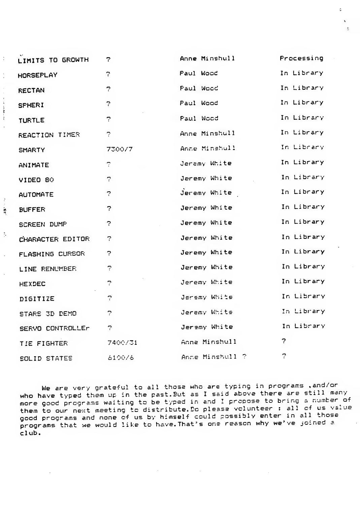| LIMITS TO GROWTH       | 7                   | Anne Minshull   | Processing   |
|------------------------|---------------------|-----------------|--------------|
| <b>HORSEPLAY</b>       | $\mathbb{R}$        | Paul Wood       | In Library   |
| <b>RECTAN</b>          | $\mathbb{R}$        | Faul Wood       | In Library   |
| <b>SFHERI</b>          | $\mathbb{R}$        | Paul Wood       | In Library   |
| <b>TURTLE</b>          | $\overline{\gamma}$ | Faul Wood       | In Library   |
| REACTION TIMER         | $\mathbb{R}^2$      | Anne Minshull   | In Library   |
| <b>SMARTY</b>          | 730077              | Anne Minshull   | In Library   |
| ANIMATE                | $\mathbb{R}$        | Jeremy White    | In Library   |
| VIDEO 80               | $\mathbb{R}$        | Jeremy White    | In Library   |
| <b>AUTOMATE</b>        | $\mathbb{R}^n$      | Jeremy White    | In Library   |
| <b>BUFFER</b>          | $\overline{P}$      | Jeremy White    | In Library   |
| SCREEN DUMP            | $\mathbb{R}$        | Jeremy White    | In Library   |
| CHARACTER EDITOR       | $\mathbb{R}^n$      | Jeremy White    | In Library   |
| <b>FLASHING CURSOR</b> | $\mathbb{R}$        | Jeremy White    | In Library   |
| LINE RENUMBER          | $\mathbb{R}^2$      | Jeremy White    | In Library   |
| <b>HEXDEC</b>          | $\mathbb{R}^2$      | Jeremy White    | In Library   |
| DIGITIZE               | $\mathbb{P}$        | Jeremy White    | In Library   |
| STARS 3D DEMO          | P                   | Jeremy White    | In Library   |
| SERVO CONTROLLEr       | $\mathbb{R}^n$      | Jeremy White    | In Library   |
| TIE FIGHTER            | 7400731             | Anna Minshull   | ?            |
| SOLID STATES           | 610076              | Anne Minshull ? | $\mathbb{R}$ |

 $\ddot{\phantom{a}}$  $\frac{1}{3}$ Ŕ

> $\cdot$ ņ

k.

We are very grateful to all those who are typing in programs , and/or who have typed them up in the past.But as <sup>I</sup> said above there are still many more good programs waiting to be typed in and <sup>I</sup> propose to bring a number of more good programs waiting to be typed in the first care is all of us value<br>them to our next meeting to distribute.Do please volunteer : all of us value them to our next meeting to distributerso preser reconverge in all those<br>good programs and none of us by himself could possibly enter in all those programs'that we would like to have.That's one reason why we've joined a  $c$ lub.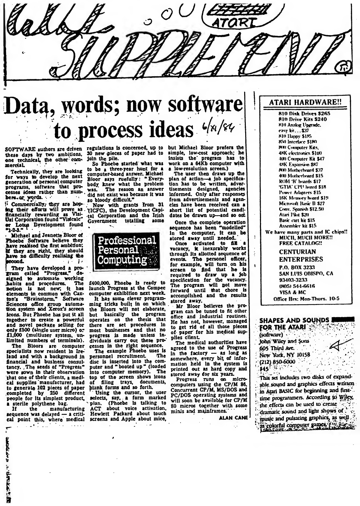#### Data, words; now software to process ideas  $4/8/12$

SOFTWARE authors are driven these days by two ambitions, one technical, the other commercial.

Technically, they are looking for ways to develop the next feneration of personal computer programs, software that pro cesses ideas rather than num-. bers. or words. . .

!\* Commercially,- thpy are hoping their efforts will prove as. financially rewarding as Vlsi-Usi Corporation found "Vislcalc" or Lotus Development found

• Michael and Jeanette Bloor of Phoebe' Software beheve they<br>have realised the first ambition; if they are tight, they should have no difficulty realising the pecond.

<sup>I</sup> They have developed a pro gram called "Progress," de signed to automate working habits and procedures. The notion is not new; It has elements in common with Caxton's "Brainstorm," Software Sciences office group automa-<br>tion system and Xerox's screen Icons. But Phoebe has put it all together to create a powerful end novel package selling for only £500 (single user micro) or £1,000 (multiuser system, un limited numbers of terminals).

The Bloors are computer specialists now resident in Ireland and with a background in financial and business consultancy. .The seeds of "Progress" were sown in their observation that one of their clients, a medical supplies manufacturer, had to generate 102 pieces of paper .completed by 250 different people for its simplest product, a sterile polythene bag.<br>If the manufac

manufacturing sequence was delayed - a critical point this, where medical

الترمونف فيتكفن فعقدان

**Contractor** 

詞

30 new pieces of paper had to join the pile. So Phoebe started what was

to be a three-year hunt for a computer-based answer. Michael Bloor says ruefully: "Every body. knew what the problem was.' The reason an answer did not exist was because it was so bloody difficult"

. Now with grants from 31 '(ICFC), the Development Capi- -tal Corporation and the Irish Government totalling aome



£400,000, Phoebe Is ready to launch Progress at the Compec computer exhibition next week.

It has some clever programming tricks built in on which the Bloors will not elaborate, but basically the program operates on the thesis that there are set procedures in most businesses and that no progress is made unless in dividuals carry out these pro-' cesses in the right sequence.

The example Phoebe uses is<br>presonnel recruitment. The personnel recruitment. disc is inserted into the computer and " booted up " (loaded into computer memory). The top of the screen shows icons of filing trays, blank forms and so forth.

Ture the cursor, the user<br>selects, say, a form marked • say, a form marked<br>• (Phoebe is talking to plan. (Phoebe is talking to ACT about voice activation,<br>Hewlett Packard about touch ACT about voice activation, screens and Apple about mice,  $\sim$ 

regulations Is concerned, up to but Michael Bloor prefers the simple, low-cost approach; he insists the' program has to work on a 64Kb computer with a low-resolution screen.)

The user then draws up the plan of action-a job specification has to be written, advertisements designed, agencies informed. Only after responses from advertisements and agencies have been received can a ahort list of potential candidates be drawn up-and so one

Once the complete operation sequence has been "modelled" in the computer, it can be atored away until needed.

Once activated to fill<br>vacancy, it inexprably wo it inexorably works through its allotted sequence of events. The personel officer, for example, will turn on his screen to find that he is required to draw up a job specification for the vacancy. The program will pot move forward until that chore is accomplished and the results atored away.

Mr Bloor believes the pro gram can be tuned to fit other office and industrial routines. He has not, however, managed to get rid of all those pieces of paper for his medical supplies client.

The medical authorities have agreed to the use of Progress in the factory — as long as somewhere, every bit of information held in the system is printed out as hard copy and stored away for six years.

Progress runs on microcomputers using the CP/M 86. Concurrent CP/M, MS/DOS and PC/DOS operating systems and will soon be available for CP/M 80 micros together with some minis and mainframes. '

ALAN CANE

 $\mathcal{L}_{\mathcal{L}}$  .

#### ATARI HARDWARE!!

810 Disk Drives \$265 810 Drive Kits \$240 kill Analog Upgrade, easy kit... \$37 810 Happy \$185 850 Interface \$180 **8001 Connouter Kits.** 48K electronics \$100 •WO Computer Kit \$47 •18K Expansion \$87 800 Motherhoard \$37 400 Motherlinard \$15 ROM 'B' hoards \$17 T.TIA' CPI' hoard \$18 Power Atlaplrrs \$15 I5K Memory hoard \$1!\* Microsoft Basic II \$27 Conv. Spanish \$12.50 Atari Pikit \$20 Basic cart kit \$15 Assembler kit \$15

We have many parts and 1C chips!! MUCH, MUCH MORE!! FREE CATALOG!!

**CENTURIAN** 

ENTERPRISES P.O. BOX 3233

SAN I.U1S OBISPO. CA 93403-3233 (H05) 544-6616 VISA & MC

Office Hrs: Mon-Thurs. 10-5

#### SHAPES AND SOUNDS **FOR THE ATARI : '''**

(software) - - . ' John Wiley and Sons 605 Third Avc. New York. NY 10158  $(212)850-6000$   $\cdot$   $\cdot$   $\cdot$ :»45 APES AND SOUNDS<br>
R. THE ATARI<br>
Tware)<br>
In Wiley and Sons<br>
Thind Ave.<br>
(York, NY 10158<br>
(York, NY 10158<br>
(York, NY 10158<br>
(York, NY 10158<br>
(York, NY 10158<br>
(York, NY 10158<br>
(York, NY 10158<br>
(York, NY 10158<br>
(York, NY 10158)

This set includes two disks of expandable sound and graphics effects written in Anni BASIC for beginning and firsttime programmers. According to Wiley, the effects can be used to create dramatic sound and light shpws of. music and pulsating graphics, as well as colorful computer games ( ) and the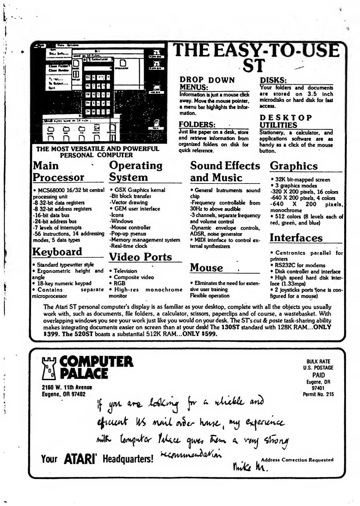

THE MOST VERSATILE AND POWERFUL PERSONAL COMPUTER

#### Main Operating Processor System

• MCS68000 16/32 bit central • GSX Graphics kem, processing unit -Bit block transfer

- -8 32-bit data registers
- -8 32-bit address registers GEM user interface -Bittransfer-Vectordrawing•
- -16-bit data bus
- -24-bit address bus
- 
- -56 instructions, 14 addressing

modes, 5 data types -Memory managemen controller-Pop-upmanagement system

#### $K$ evboard  $\frac{R$ eal-time clock

- Standard typewriter style
- Ergonometric height and Television angle • Composite video • •
- 
- 18-key numeric keypad RGB
- microprocessor monitor
- 
- 
- Contains separate High-res mono ••monochrome

THE EASY-TO-USE **ST**  $EAS$ <br>DOWN<br> $S_{\text{just a mouse disk}}$ <br>the mouse pointer,<br>highlights the infor- $\begin{array}{c} \n\text{D-US} \\
\hline\n\end{array}$ 

#### DROP DOWN MENUS:

Information is just a mouse cfick away. Move the mouse pointer, a menu bar highlights the information.

#### FOLDERS:

Just like paper on a desk, store and retrieve information horn organized folders on disk for quick reference.

#### Sound Effects and Music

• General Instruments sound chip -Frequency controllable from 30Hz to above audible -3 channels, separate frequency and volume control -Dynamic envelope controls, ADSR, noise generator • MIDI interface to control external synthesizers

#### Mouse

• Eliminates the need for extensive user training Flexible operation

#### DISKS:

Your folders and documents are stored on 3.5 inch microdisks or hard disk for fast access.

#### DESKTOP UTILITIES

Stationery, a calculator, and applications software are as handy as a dick of the mouse button.

#### Graphics

- \* 32K bit-mapped screen
- \* 3 graphics modes
- •320 X 200 pixels, 16 colors
- -640 X 200 pixels, 4 colors pixels,
- monochrome • 512 colors (8 levels each of red, green, and blue)

#### Interfaces

• Centronics parallel for printers

- \* RS232C for modems
- Disk controller and interface · High speed hard disk inter-
- face (1.33mps) • 2 joysticks ports (one is con-

figured for a mouse)

The Atari ST personal computer's display is as familiar as your desktop, complete with all the objects you usually work with, such as documents, file folders, a calculator, scissors, paperclips and of course, a wastebasket. With overlapping windows you see your work just like you would on your desk. The ST's cut & paste task-sharing ability makes integrating documents easier on screen than at your desk! The 130ST standard with 128K RAM...ONLY S399. The 520ST boasts a substantial 512K RAM...ONLY \$599.

OMPUTER BULK RATE U.S. POSTAGE PALACE PAID Eugene, OR 2160 W. 11th Avenue 97401 Eugene, cuyciic,unOR <sup>97402</sup> . . . N Permit No. 215 you are looking for a rhieble eficient US mail order ha mit lomputer labour guves Frem a very strong , Address Correction Requested Mike M.

-7 levels of interrupts -Mouse controller -8 32-bit address registers<br>
-16-bit data bus<br>
-24-bit address bus<br>
-24-bit address bus<br>
-7 levels of interrupts<br>
-56 instructions, 14 addressing -Pop-up menus<br>
modes, 5 data types<br>
-Real-time clock<br>
- Standard typewriter -Icons -Windows

• GSX Graphics kemal

#### Video Ports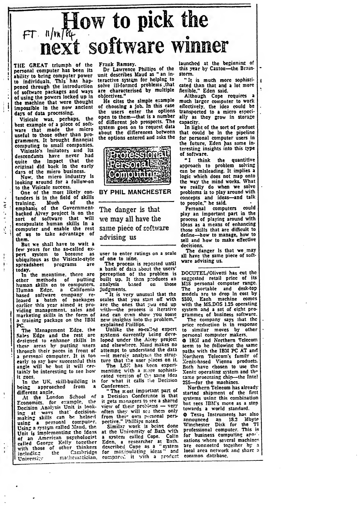

THE GREAT triumph of the personal computer has been its ability to bring computer power to individuals. This has happened through the introduction of software packages and ways of using the powers locked up in the machine that were thought impossible In the now ancient days of data processing.

Visicalc was. perhaps, the best example of a piece of software that made the micro useful to those other than programmers. It brought financial computing to small companies.

Visicale's imitators and its descendants have never had quite the impact that the original did back in the early davs of the micro business.

Now. the micro industry is looking around for a follow-on to the Visicalc success.

One of the most likely contenders is in the field of skills training. Much of the emphasis of the Governmentbacked Alvey project is on the sort of software that will encapsulate human skills in a computer and enable the rest of us to take advantage of them.

ξ  $\bar{r}$ 

ŧ

 $\ddot{\phantom{a}}$ 

But we shall have to wait a few years for the so-called expert system to become as ubiquitous as the Visicalc-style spreadsheet programs are today.

In the meantime, there are other methods of putting human skills on to computers. Human Edge, a California based software company released a batch of packages earlier this year aimed at providing management, sales and marketing skills in the form of a training package on the IBM PC.

The Management Edge, the Sales Edge and the rest are designed to enhance skills in these areas by putting users through their paces in front of a personal computer. It is too early to say how successful this angle will he but it will certainly be interesting to sec how it goes. In the UK. skill-building is

being approached from a different angle.

At the London School of Economics, for example, the Decision Analysis Unit is looking at ways that decisionmaking skills can be helped using a personal computer. Using a system railed Maud, the Unit is implementing the ideas of an American psychologist called George Kelly together with those of other thinkers including the Cambridge including the Cambridge<br>University mathematician,

Frank Ramsey.

Dr Lawrence Phillips of the unit describes Maud as " an in teractive system for helping to solve ill-formed problems .that are characterised by multiple objectives."

He cites the simple example of choosing a job. In this case the users enter the options open to them—that is a number of different job prospects. The system goes on to request data about the differences between the options entered and asks the



BY PHIL MANCHESTER

The danger is that we may all have the same piece of software advising us

user to enter ratings on a scale of one to nine.

The process is repeated until a bank of data about the users' perception of the problem is built up. It then produces aa analysis based on those judgments.

It is very unusual that the scales that you start off with are the ones that you end up with—the process is iterative and can even show you some new insights into the problem." explained Phillips.

Unlike the so-called expert systems currently being developed under the Alvey project and elsewhere. Maud makes no attempt to understand the data —it merely analysts the struc ture that the user places on it.

The LSE has been experimenting with a more sophisticated version of the same idea for what it calls the Decision Conference.

" The most important part of Decision Conference is that it gets managers to see a shared view of their problems — very often they will see them only from thei' own personal pers pective." Phillips noted.

Similar work is being done at the University of Bath with a systen; called Cope. Colin<br>Eden, a researcher at Bath, described Cope as a " system for manipulating ideas" and compared it with a product

launched at the beginning of this year by  $C$ axton—the Brain- $\vert \cdot \vert$ storm.

"It is much more sophisticated than that and a lot more flexible." Eden said.

Although Cope requires a much larger computer to work effectively, the idea could be transported to a micro espcci- . ally as they grow in storage **capacity** 

In light of the sort of product that could be in the pipeline for personal computer users in the future, Eden has some interesting insights into this type of software.

"I think the quantitive approach to problem solving can be misleading. It implies a logic which does not map onto the way the mind works. What we really do when we solve problems is to play around with concepts and ideas—and talk to people." he said.

Personal computers could play an important part in the process of playing around with ideas as a means of enhancing those skills that arc difficult to define—how to manage, how to sell and how to make effective decisions.

The danger is that we may all have the same piece of software advising us.

DOCUTEL/Olivetti has cut the suggested retail price of its MIS personal computer range.<br>The portable and desk-top portable and desk-top models are to drop in cost by S500. Each machine comes with the MS.DOS 1.25 operating system and a set of eight programmes of business software.

The company says that the price reduction is in response to similar moves by other personal computer makers.

0 IBM and Northern Telecom seem to be following the same paths with the IBM PC AT and Northern Telecom's family of Xenix-based Vienna products. Both have chosen to use the Xenix operating system and the same processing chin—the Intel 2S5—for the machines.

Northern Telecom has already started shipment of the first systems using this combination but sees IBM's move as a step towards a world standard.

0 Texas Instruments has also announced an 18.2 Mbyte Winchester Disk for the TI professional computer. This is for business computing apprications where several machines are connected together by a local area network and share a common database.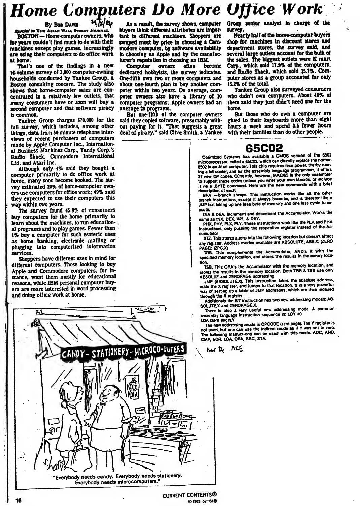#### Home Computers Do More Office Work

By Boa DAVIS

of to This Asian Wall Staset Journal BOSTON — Home-computer owners, who for years couldn't find much to do with their machines except play fames, increasingly are using their computers to do office work at home.

That's one of the findings in a new 16-volume survey of 3.000 computer-owning households conducted by Yankee Group, a Boston consulting concern. The study also shows that home-computer sales are concentrated in a relatively few outlets, that many consumers have or soon will buy a second computer and that software piracy is common.

Yankee Group charges \$70,000 for the full survey, which includes, among other things, data from 50-minute telephone interviews of recent purchasers of computers made by Apple Computer Inc., International Business Machines Corp., Tandy Corp.'s Radio Shack. Commodore International Ltd. and Atari Inc.

Although only 4% said they bought a computer primarily to do office work at home, many soon become hooked. The survey estimated 20% of home-computer own ers use computers for office work; 49% said they expected to use their computers this way within two years.

The survey found 45.8% of consumers buy computers for the home primarily to learn about the machines, to run educational programs and to play games. Fewer than 1% buy a computer for such esoteric uses as home banking, electronic mailing or plugging into computerized information services.

Shoppers have different uses in mind for different computers. Those looking to buy Apple and Commodore computers, for instance. want them mostly for educational reasons, while IBM personal-computer buyers are more interested in word processing



As a result, the survey shows, computer Group senior analyst in charge of the buyers think different attributes are impor- survey.<br>
tant in different machines. Shoopers are Rearly half of the home-computer buyers tant in different machines. Shoppers are Nearly half of the home-computer buyers awayed most by price in choosing a Com-shop for machines in discount stores and modore computer, by software availability

One-fifth own two or more computers and puter stores as a group accounted for only about one-fourth plan to buy another com- 15.2% of the total. about one-fourth plan to buy another com- 15.2% of the total,<br>puter within two years. On average, com- Yankee Group also surveyed consumers puter within two years. On average, com-<br>puter owners also have a library of 10 computer programs; Apple owners had an them sayerage 29 programs. average 29 programs.<br>But one-fifth of the computer owners

said they copied software, presumably with-<br>out paying for it. "That suggests a great

By Boa Davis  $A_i \otimes \{k\}$  As a result, the survey shows, computer Group senior analyst in charge of the

ą

swayed most by price in choosing a Com- shop for machines in discount stores and<br>modore computer, by software availability department stores, the survey said, and in choosing an Apple and by the manufac- several large outlets account for the bulk of turer's reputation in choosing an IBM. the sales. The biggest outlets were K mart Computer owners often become Corp., which sold 17.9% of the computers, dedicated hobbyists, the survey indicates. and Radio Shack, which sold 15.7%. Comand Radio Shack, which sold 15.7%. Com-

who didn't own computers. About 40% of them said they just didn't need one for the

But those who do own a computer are glued to their keyboards more than eight hours a week and spend 3.5 fewer hours deal of piracy." said Clive Smith, a Yankee with their families than do other people.

#### 65C02

Optimized Systems has available a CMOS version ot the 6502 microprocessor, called a 65C02, which can directly replace the normal 6502 in an Atari computer. This chip requires less power, therby tunn ing a lot cooler, and for the assembly language programmer, it otters 27 new OP codes. Currently, however. MACI65 la the only assembler to support these codes unless you write your own Macros, or include It via a .BYTE command. Here are the new commands with a brief description of each:

BRA -branch always. This instruction works tike alt the other branch instructions, except it always branchs, and is therefor like a JMP but taking up one less byte of memory and one less cycle to execute.

INA 6 DEA. Increment and decrement the Accumulator. Works the same as INX, DEX, INY, & DEY.

PHX, PHY, PLX. PLY. These instructions work like the PLA and PHA Instructions, only pushing the respective register instead of the Accumulator

STZ. This stores a zero into the following location but doesn't affect any register. Address modes available are ABSOLUTE; ABS,X; (ZERO PAGE); (ZPG.X)

TRB. This complements the Accumulator, AND's it with the specified memory location, and stores the results in the meory location.

TSB. This ORA's the Accumulator with the memory location, and stores the results in the memory location. Both TRB & TSB use only ABSOLUE and ZEROPAGE addressing

JMP (ABSOLUTEX). This instruction takes the absolute address,<br>adds the X register, and jumps to that location. It is a very powerful way of setting up a table of JMP addresses, which are then indexed through the X register.

Additionaly the BIT instruction has two new addressing modes: AB-SOLUTEX and ZEROPAGEX.

There is also a very useful new addressing mode. A common assembly language instruction sequence is: LDY #0

IDA (zero page),Y The new addressing mode is OPCODE (zero page). The Y register is

not used, but one can use the indirect mode as if <sup>Y</sup> was setto zero. The following instructions can be used with this mode; ADC, and, CMP. EOR, LDA. ORA, SBC, STA.

in the ACE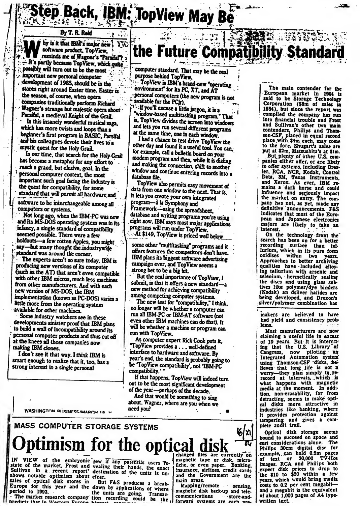#### Step Back, IBM: TopView May Be

J

l

By T. R. Reid

i f.

\*f

'

By T. R. Reid Press, software product, TopView, reminds me of Wagner's "Paraifal"? r- ft's partly because TcpView. which quite \* possibly will turn out to be the most important new personal computer •development of 1985, should be in the. stores right around Easter time. Easter is the season, of course, when opera Companies traditionally perform Richard • Wagner's strange but majestic opera about Parsifal, a medieval Knight of the Grail.

In this insanely wonderful musical saga, which has more twists and loops than a beginner's first program in BASIC, Parsifal and his colleagues devote their fives to a mystic quest for the Holy GraiL

In our time, that search for the HolyGrail has become a metaphor for any effort to reach a grand, but elusive, goal. In the personal computer context, the most important such goal facing the industry is the quest for compatibility, for some standard that will permit all hardware and

software to be interchangeable among all computers or systems.

Not long ago, when the IBM-PC was new and its MS-DOS operating system was in its infancy, a single standard of compatibility seemed possible. There were a few holdouts—a few rotten Apples, you might ' aay—but many thought the industrywide standard was around the comer.

The experts aren't so sure today. IBM is producing new versions of its computer (such as the AT) that aren't even compatible with other IBM micros, much less machines from other manufacturers. And with each new version of MS-DOS, the IBM implementation (known as PC-DOS) varies a little more from the operating system available for other machines.

Some industry watchers see in these developments sinister proof that IBM plane to build a wall of incompatibility around its personal computer products and thus cut off at the knees all those companies now making IBM clones.

I don't see it that way. I think IBM is smart enough to realize that it, too, has a strong interest in a single personal

WASHINGTON RUSINESS/MARCH 19 W

#### , 1988, 'v? .  $\mathbb{R}^n$  for  $\mathbb{R}^n$ the Future Compati lity Standard

 $\rightarrow$ 

computer standard. That may be the real purpose behind TopView.

TopView is IBM's brand-new "operating environment" for its PC, XT, and AT ... personal computers (the new program is not<br>available for the PCjr).<br>Available for the PCjr). available for the PCjr).<br>**In it** you'll excuse a little jargon, it is a

Vmdow-based multitasking program." That is. TopView divides the screen into windows and lets you run several different programs at the same time, one in each window.

I had a chance to test drive TopView the other day and found it a useful tooL You can. for example, call a bulletin board on your ' modem program and then, while it is dialing and making the connection, shift to another window and continue entering records into a

database file.<br>TopView also permits easy movement of data from one window to the next. That is, it lets you create your own integrated program—a la Symphony and<br>Framework—using the spreadsheet. Framework—using the spreadsheet, ' database and writing programs you're using nght now. IBM says most major applications programs will run under TopView.  $\mathbf{A}$ t \$149, TopView is priced well below

some other "multitasking" programs and it offers features the competitors don't have. some other "multitasking" programs and<br>offers features the competitors don't ha<br>IBM plans its biggest software advertisi IBM plans its biggest software advertising<br>campaign ever, and TopView seems a strong bet to be a big hit

But the real importance of TopView. I submit, is that it offers a new standard—a new method for achieving compatibility among competing computer systems.

The new test for "compatibility." I think, no longer wiU be whether a computer can run all IBM-PC or IBM-AT software (not even other IBM machines can do that). It will be whether a machine or program can run with TopView.

As computer expert Rick Cook puts it. TopView provides a... well-defined interface to hardware and software. By year\*s end, the standard is probably going to be TopView compatibility', not IBM-PC compatibility.' '

If that happens. TopView wifi indeed turn out to be the most significant development of the year—perhaps of the decade.

And that would be something to sing about. Wagner, where are you when we need you?



IN VIEW of the embryonic  $few$  if any potential users  $Fe$ . state of the market. Frost and vealing their hands, the exact Sullivan in a recent report<sup>\*</sup> destination of the units is un shows notable optimism about clear.<br>sales of optical disk stores in But F&S produces a breaksales of optical disk stores in But F&S produces a break-<br>Europe for this year and the down by applications of where<br>period to 1993. The units are going. Transac-

period to 1993.<br>The market research company tion recording could be the BrPdirft that in IVoetnpn Furnn\* ...\_ . <sup>1</sup> magnetic tape or disk, microfiche. or even paper. Banking, insurance, airlines, credit cards and the Government are the main areas.

Mapping/remote sensing, magnetic disk back-up and tele-<br>communications store-andcommunications forward systems are each nra.

The main contender for the European market in 1SS4 is said to be Storage Technology Corporation (38m of sales in 1984), but since the report was compiled the company has run into financial trouble and Frost and Sullivan's other two main contenders. Philips and Thomaon-CSF, placed In equal second place with.34m each, may come to the fore. Shugart's sales are put at 32m, Matsushita's at Jim.

But plenty of other U.S. companies either offer, or are likely to offer systems. Including Drexler, RCA, NCR, Kodak. Control Data, 3M, Texas Instruments, and Xerox. As ever, IBM re mains a dark horse and could influence and seriously impact the market on entry. The company has not, as yet, made any definitive' announcements. F&S Indicates that most of the European and Japanese electronics majors are likely to take an interest.

On the technology front the' search has been on for a better recording surface than tellurium, which in its pure form oxidises within two years. oxidises within two years.<br>Approaches to better archiving qualities have - included alloy ing teliurium with arsenic and ! selenium, hermetically sealing the discs and using glass subtives like polymer/dye binders (Kodak) an dsilver halides are being developed, and Drexon's silver/polymer combination has

makers are believed to have had yield and consistency prob lems.

Most manufacturers are now claiming a useful life in excess of 10 years. But it is interesting' that the U.S. Library'of Congress, now piloting an Integrated Automation system' using Thomson-CSF disks, be-<br>lieves that long life is not a worry-they plan simply to rerecord at intervals, which is what happens with magnetic media at the moment. In addition, non-erasability, far from detracting, seems to make optical disks more attractive in industries like banking, where It provides protection against tampering and gives a complete audit trail.

Optical disk storage seems bound to succeed on space and cost considerations alone. The Philips 30cm digital disc for example, can hold 0.5m pages<br>of text or 30,000 TV-like images. RCA and Philips both expect disk prices to drop to the 310 to \$20 within a few years, which would bring media costs to 0.2 per cent megabit and a megabit is the equivalent of about  $1,000$  pages of  $A4$  typewritten text.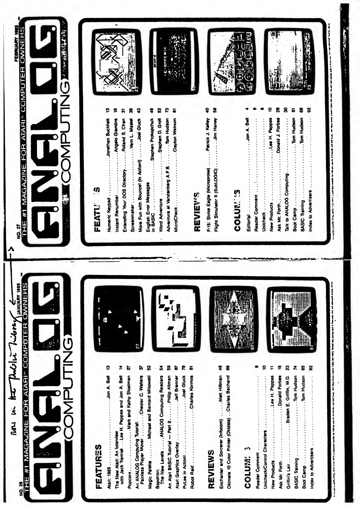| TIANUARY 1985                |                                           |  |
|------------------------------|-------------------------------------------|--|
| now in the fubility futuring | HE #1 MAGAZINE FOR ATARI® COMPUTER OWNERS |  |
|                              |                                           |  |
|                              |                                           |  |

## r. TOMPUTHOM

## FEATURES

| $\ddot{\mathbf{c}}$ | ¥                                                                             | 2 | Þ                                                                         | X                                           | 3                                                     | 8                                               | p | R | ã                         |
|---------------------|-------------------------------------------------------------------------------|---|---------------------------------------------------------------------------|---------------------------------------------|-------------------------------------------------------|-------------------------------------------------|---|---|---------------------------|
|                     | The New Atad: An Interview<br>with Jeck Tremiel Lee H. Pappas and Jon A. Bell |   | An ANALOG Computing Tutoriat:<br>Painless Player Mover Chester C. Walters | Magic Palette  Michael and Bernard Mikowski | The New Levels  ANALOG Compuling Readers<br>Bopotron: | An Alari BASIC Tutorial — Part 2  Philip Altman |   |   | Robot Raid Charles Kormos |

### REVIEWS

| emilit Herr Hiller               |                                                       |
|----------------------------------|-------------------------------------------------------|
| Enchanter and Sorcerer (Infocom, | 10 Color Printer (Okidata) . Charles Bachan<br>Jkimet |

ę

8

## COLUMI 3

| .                           | sedded Heal         | $\bullet$     | Griffin's Lair Braden E. Griffin, M.D. | Tom Hudson      | Tom Hudson | <b>CONTRACTES IN A RESERVATION OF A REAL PROPERTY OF A REAL PROPERTY</b> |
|-----------------------------|---------------------|---------------|----------------------------------------|-----------------|------------|--------------------------------------------------------------------------|
|                             |                     |               |                                        |                 |            |                                                                          |
|                             |                     |               |                                        |                 |            |                                                                          |
|                             |                     |               |                                        |                 |            |                                                                          |
|                             |                     |               |                                        |                 |            |                                                                          |
|                             |                     |               |                                        |                 |            |                                                                          |
|                             |                     |               |                                        |                 |            |                                                                          |
|                             |                     |               |                                        |                 |            |                                                                          |
|                             |                     |               |                                        |                 |            |                                                                          |
|                             |                     |               |                                        |                 |            |                                                                          |
|                             |                     |               |                                        |                 |            |                                                                          |
|                             |                     |               |                                        |                 |            |                                                                          |
|                             |                     |               |                                        |                 |            |                                                                          |
|                             |                     |               |                                        |                 |            |                                                                          |
|                             |                     |               |                                        |                 |            |                                                                          |
|                             |                     |               |                                        |                 |            |                                                                          |
|                             |                     |               |                                        |                 |            |                                                                          |
|                             |                     |               |                                        |                 |            |                                                                          |
|                             |                     |               |                                        |                 |            |                                                                          |
|                             |                     |               |                                        |                 |            |                                                                          |
|                             |                     |               |                                        |                 |            |                                                                          |
|                             |                     |               |                                        |                 |            |                                                                          |
|                             |                     | ٠             |                                        |                 |            |                                                                          |
|                             |                     |               |                                        |                 |            |                                                                          |
|                             |                     |               |                                        |                 |            |                                                                          |
|                             |                     |               |                                        |                 |            |                                                                          |
|                             |                     |               |                                        |                 |            |                                                                          |
| Unicheck/Control Characters | <b>New Products</b> | Ask Mr. Forth |                                        | BASIC Training. |            |                                                                          |
|                             |                     |               |                                        |                 |            |                                                                          |
|                             |                     |               |                                        |                 |            |                                                                          |
|                             |                     |               |                                        |                 |            |                                                                          |
|                             |                     |               |                                        |                 |            |                                                                          |

 $\pmb{\mathfrak{p}}$ 

 $\overline{a}$ 

ă









 $228$ 

 $\mathbf{\hat{s}}$ 





.<br>+

# **SALE LING ANGELES**

#### <u>(n</u> **FEATU**

| g | á | ភ                                            | g | ş                                             | ş                      | X | R |
|---|---|----------------------------------------------|---|-----------------------------------------------|------------------------|---|---|
|   |   | Extending Your DOS Directory  Roland S. Chan |   | More Fun with Bouncel (In Actioni) Joel Gluck | English Error Messages |   |   |

## **REVIEV'S**

| . Patrick J. Kelley             |  |
|---------------------------------|--|
|                                 |  |
|                                 |  |
| F-15: Strike Eagle (Microprose) |  |
|                                 |  |

ò

## COLUI!" IS

|  | Reader Comment |  | Lee H. Pappas<br>.<br>New Products |  |  | Tom Hudson | Tom Hudson<br>BASIC Training Training Constant | Index to Advertisers |
|--|----------------|--|------------------------------------|--|--|------------|------------------------------------------------|----------------------|
|--|----------------|--|------------------------------------|--|--|------------|------------------------------------------------|----------------------|





.Clayton Walnum 81

MicroCheck.........





**CONTRACTOR**  $1.0001$ 

counts on the sea of a state of the county of the sea of the season of the season of the season of the season of the season of the season of the season of the season of the season of the season of the season of the season

Should content the self-content of the self-

**CONSTRUCTION**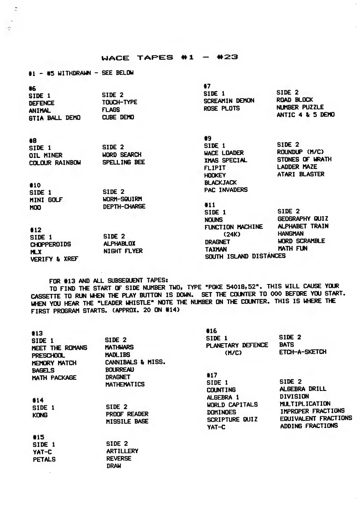#### WACE TAPES  $#1 - #23$

•1 - #5 WITHDRAWN - SEE BELOW

 $\tilde{\mathbf{z}}$ 

 $\mathbb{A}^k$ 

| #6                    |                  | $\bullet$              |                       |
|-----------------------|------------------|------------------------|-----------------------|
| SIDE 1                | SIDE 2           | SIDE 1                 | SIDE 2                |
| <b>DEFENCE</b>        | TOUCH-TYPE       | SCREAMIN DEMON         | <b>ROAD BLOCK</b>     |
| <b>ANIMAL</b>         | <b>FLAGS</b>     | ROSE PLOTS             | NUMBER PUZZLE         |
| <b>GTIA BALL DEMO</b> | <b>CUBE DEMO</b> |                        | ANTIC 4 & 5 DEMO      |
| #8                    |                  | #9                     |                       |
| SIDE 1                | SIDE 2           | SIDE 1                 | SIDE 2                |
| OIL MINER             | WORD SEARCH      | WACE LOADER            | ROUNDUP (M/C)         |
| <b>COLOUR RAINBOW</b> | SPELLING BEE     | XMAS SPECIAL           | STONES OF WRATH       |
|                       |                  | <b>FLIPIT</b>          | <b>LADDER MAZE</b>    |
|                       |                  | HOOKEY                 | <b>ATARI BLASTER</b>  |
|                       |                  | <b>BLACKJACK</b>       |                       |
| #10<br>SIDE 1         | SIDE 2           | <b>PAC INVADERS</b>    |                       |
|                       | WORM-SQUIRM      |                        |                       |
| MINI GOLF             | DEPTH-CHARGE     | #11                    |                       |
| <b>MOO</b>            |                  | SIDE 1                 | SIDE 2                |
|                       |                  | <b>NOUNS</b>           | GEOGRAPHY QUIZ        |
|                       |                  | FUNCTION MACHINE       | <b>ALPHABET TRAIN</b> |
| #12                   | SIDE 2           | (24K)                  | <b>HANGMAN</b>        |
| SIDE 1                | <b>ALPHABLOX</b> | <b>DRAGNET</b>         | WORD SCRAMBLE         |
| <b>CHOPPERDIDS</b>    | NIGHT FLYER      | <b>TAXMAN</b>          | MATH FUN              |
| <b>MLX</b>            |                  | SOUTH ISLAND DISTANCES |                       |
| VERIFY & XREF         |                  |                        |                       |

#### FOR #13 AND ALL SUBSEQUENT TAPES:

TO FIND THE START OF SIDE NUMBER TWO, TYPE "POKE 54018,52". THIS WILL CAUSE YOU? CASSETTE TO RUN WHEN THE PLAY BUTTON IS DOWN. SET THE COUNTER TO 000 BEFORE YOU START. WHEN YOU HEAR THE "LEADER WHISTLE" NOTE THE NUMBER ON THE COUNTER. THIS IS WHERE THE FIRST PROGRAM STARTS. (APPROX. 20 ON #14)

| #13              |                    | #16               | SIDE 2               |
|------------------|--------------------|-------------------|----------------------|
| SIDE 1           | SIDE 2             | SIDE 1            | <b>BATS</b>          |
| MEET THE ROMANS  | <b>MATHWARS</b>    | PLANETARY DEFENCE | ETCH-A-SKETCH        |
| <b>PRESCHOOL</b> | <b>MADLIBS</b>     | (M/C)             |                      |
| MEMORY MATCH     | CANNIBALS & MISS.  |                   |                      |
| <b>BAGELS</b>    | <b>BOURREAU</b>    |                   |                      |
| MATH PACKAGE     | <b>DRAGNET</b>     | #17               |                      |
|                  | <b>MATHEMATICS</b> | SIDE 1            | SIDE 2               |
|                  |                    | <b>COUNTING</b>   | ALGEBRA DRILL        |
| #14              |                    | ALGEBRA 1         | <b>DIVISION</b>      |
| SIDE 1           | SIDE 2             | WORLD CAPITALS    | MULTIPLICATION       |
| <b>KONG</b>      | PROOF READER       | <b>DOMINDES</b>   | IMPROPER FRACTIONS   |
|                  | MISSILE BASE       | SCRIPTURE QUIZ    | EQUIVALENT FRACTIONS |
|                  |                    | YAT-C             | ADDING FRACTIONS     |
| #15              |                    |                   |                      |
| SIDE 1           | SIDE 2             |                   |                      |
| YAT-C            | <b>ARTILLERY</b>   |                   |                      |
| <b>PETALS</b>    | <b>REVERSE</b>     |                   |                      |
|                  | <b>DRAW</b>        |                   |                      |